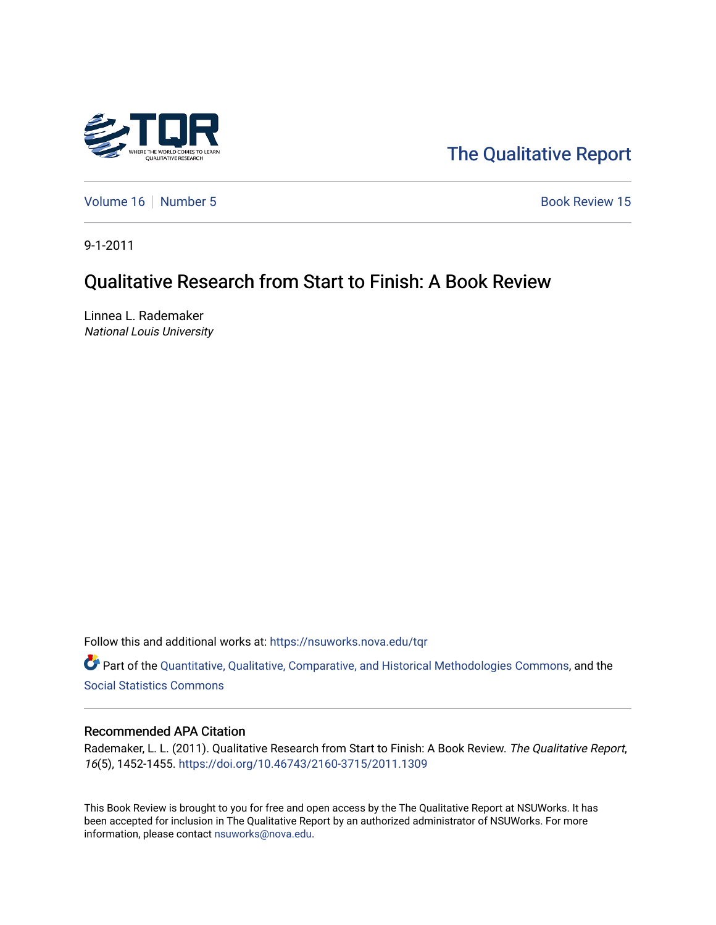

# [The Qualitative Report](https://nsuworks.nova.edu/tqr)

[Volume 16](https://nsuworks.nova.edu/tqr/vol16) [Number 5](https://nsuworks.nova.edu/tqr/vol16/iss5) Book Review 15

9-1-2011

# Qualitative Research from Start to Finish: A Book Review

Linnea L. Rademaker National Louis University

Follow this and additional works at: [https://nsuworks.nova.edu/tqr](https://nsuworks.nova.edu/tqr?utm_source=nsuworks.nova.edu%2Ftqr%2Fvol16%2Fiss5%2F15&utm_medium=PDF&utm_campaign=PDFCoverPages) 

Part of the [Quantitative, Qualitative, Comparative, and Historical Methodologies Commons,](http://network.bepress.com/hgg/discipline/423?utm_source=nsuworks.nova.edu%2Ftqr%2Fvol16%2Fiss5%2F15&utm_medium=PDF&utm_campaign=PDFCoverPages) and the [Social Statistics Commons](http://network.bepress.com/hgg/discipline/1275?utm_source=nsuworks.nova.edu%2Ftqr%2Fvol16%2Fiss5%2F15&utm_medium=PDF&utm_campaign=PDFCoverPages) 

#### Recommended APA Citation

Rademaker, L. L. (2011). Qualitative Research from Start to Finish: A Book Review. The Qualitative Report, 16(5), 1452-1455. <https://doi.org/10.46743/2160-3715/2011.1309>

This Book Review is brought to you for free and open access by the The Qualitative Report at NSUWorks. It has been accepted for inclusion in The Qualitative Report by an authorized administrator of NSUWorks. For more information, please contact [nsuworks@nova.edu.](mailto:nsuworks@nova.edu)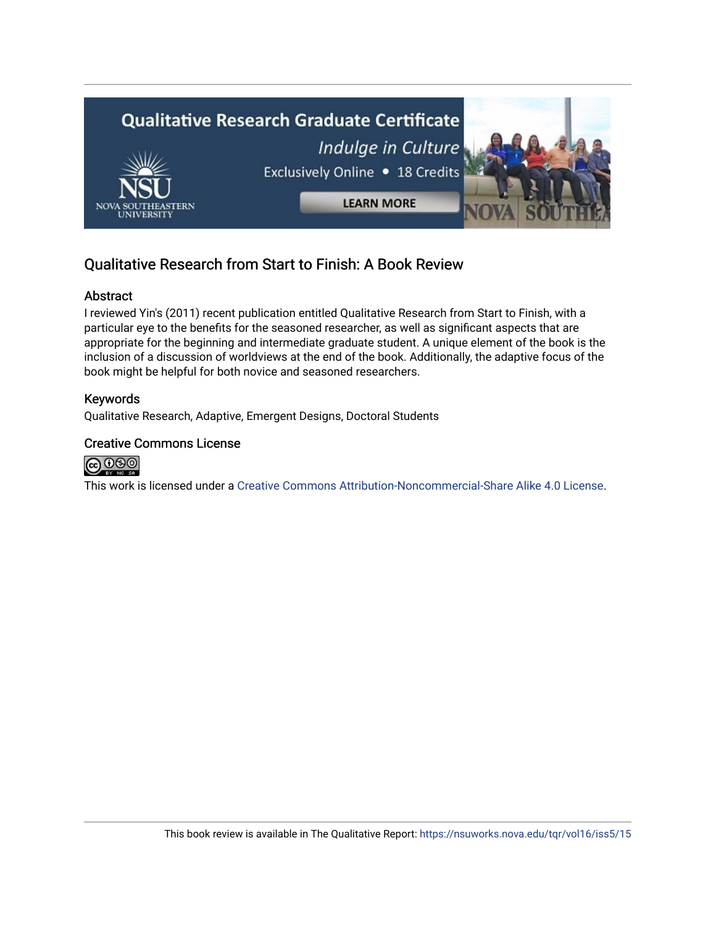

## Qualitative Research from Start to Finish: A Book Review

### Abstract

I reviewed Yin's (2011) recent publication entitled Qualitative Research from Start to Finish, with a particular eye to the benefits for the seasoned researcher, as well as significant aspects that are appropriate for the beginning and intermediate graduate student. A unique element of the book is the inclusion of a discussion of worldviews at the end of the book. Additionally, the adaptive focus of the book might be helpful for both novice and seasoned researchers.

### Keywords

Qualitative Research, Adaptive, Emergent Designs, Doctoral Students

### Creative Commons License



This work is licensed under a [Creative Commons Attribution-Noncommercial-Share Alike 4.0 License](https://creativecommons.org/licenses/by-nc-sa/4.0/).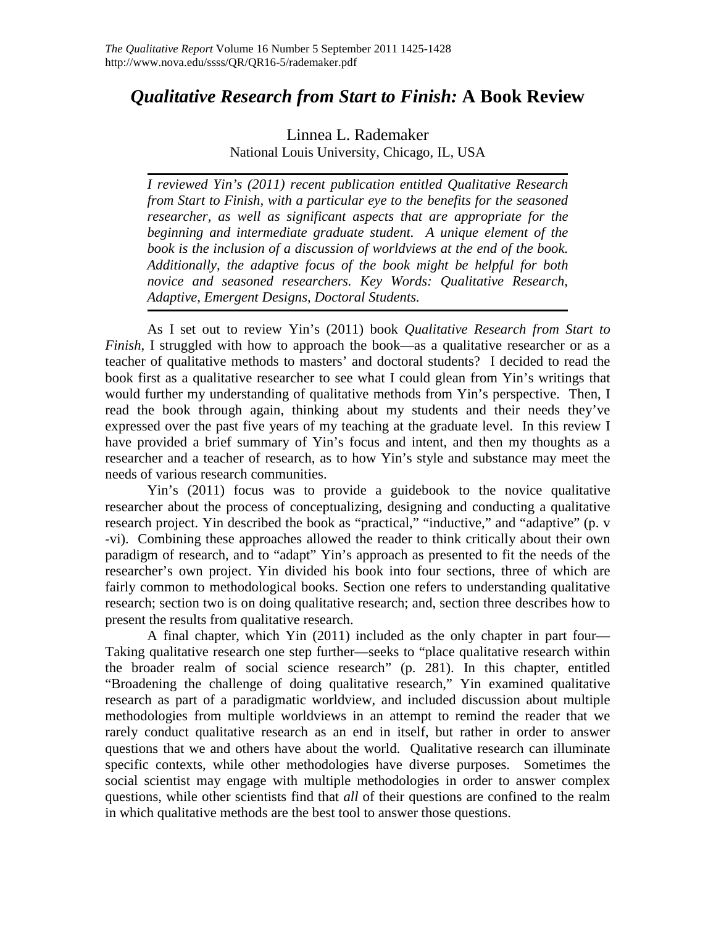## *Qualitative Research from Start to Finish:* **A Book Review**

## Linnea L. Rademaker National Louis University, Chicago, IL, USA

*I reviewed Yin's (2011) recent publication entitled Qualitative Research from Start to Finish, with a particular eye to the benefits for the seasoned researcher, as well as significant aspects that are appropriate for the beginning and intermediate graduate student. A unique element of the book is the inclusion of a discussion of worldviews at the end of the book. Additionally, the adaptive focus of the book might be helpful for both novice and seasoned researchers. Key Words: Qualitative Research, Adaptive, Emergent Designs, Doctoral Students.*

As I set out to review Yin's (2011) book *Qualitative Research from Start to Finish*, I struggled with how to approach the book—as a qualitative researcher or as a teacher of qualitative methods to masters' and doctoral students? I decided to read the book first as a qualitative researcher to see what I could glean from Yin's writings that would further my understanding of qualitative methods from Yin's perspective. Then, I read the book through again, thinking about my students and their needs they've expressed over the past five years of my teaching at the graduate level. In this review I have provided a brief summary of Yin's focus and intent, and then my thoughts as a researcher and a teacher of research, as to how Yin's style and substance may meet the needs of various research communities.

Yin's (2011) focus was to provide a guidebook to the novice qualitative researcher about the process of conceptualizing, designing and conducting a qualitative research project. Yin described the book as "practical," "inductive," and "adaptive" (p. v -vi). Combining these approaches allowed the reader to think critically about their own paradigm of research, and to "adapt" Yin's approach as presented to fit the needs of the researcher's own project. Yin divided his book into four sections, three of which are fairly common to methodological books. Section one refers to understanding qualitative research; section two is on doing qualitative research; and, section three describes how to present the results from qualitative research.

A final chapter, which Yin (2011) included as the only chapter in part four— Taking qualitative research one step further—seeks to "place qualitative research within the broader realm of social science research" (p. 281). In this chapter, entitled "Broadening the challenge of doing qualitative research," Yin examined qualitative research as part of a paradigmatic worldview, and included discussion about multiple methodologies from multiple worldviews in an attempt to remind the reader that we rarely conduct qualitative research as an end in itself, but rather in order to answer questions that we and others have about the world. Qualitative research can illuminate specific contexts, while other methodologies have diverse purposes. Sometimes the social scientist may engage with multiple methodologies in order to answer complex questions, while other scientists find that *all* of their questions are confined to the realm in which qualitative methods are the best tool to answer those questions.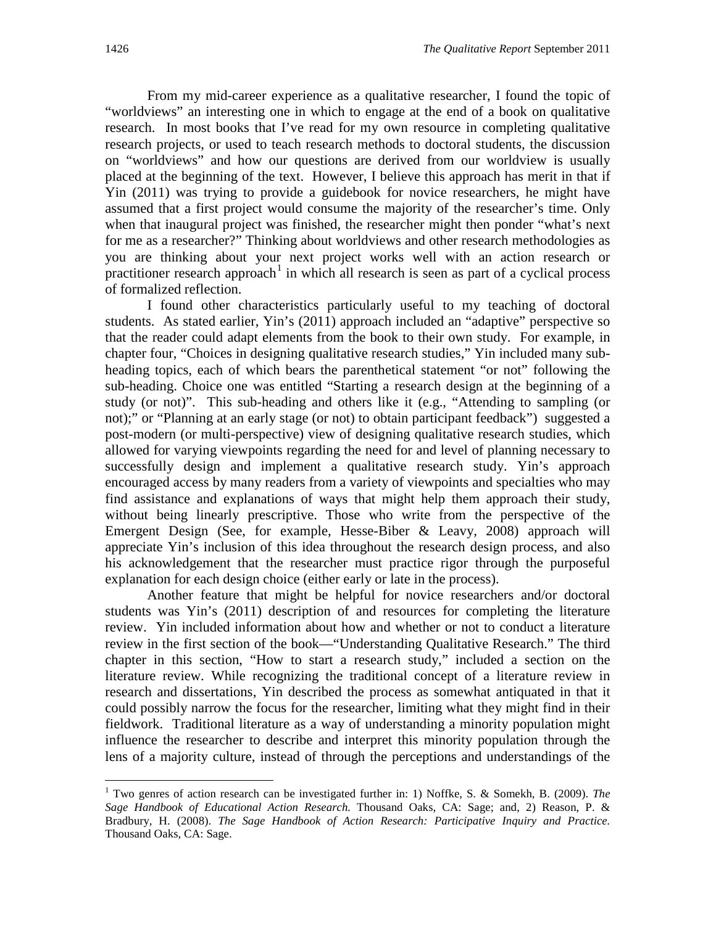From my mid-career experience as a qualitative researcher, I found the topic of "worldviews" an interesting one in which to engage at the end of a book on qualitative research. In most books that I've read for my own resource in completing qualitative research projects, or used to teach research methods to doctoral students, the discussion on "worldviews" and how our questions are derived from our worldview is usually placed at the beginning of the text. However, I believe this approach has merit in that if Yin (2011) was trying to provide a guidebook for novice researchers, he might have assumed that a first project would consume the majority of the researcher's time. Only when that inaugural project was finished, the researcher might then ponder "what's next for me as a researcher?" Thinking about worldviews and other research methodologies as you are thinking about your next project works well with an action research or practitioner research approach<sup>[1](#page-3-0)</sup> in which all research is seen as part of a cyclical process of formalized reflection.

I found other characteristics particularly useful to my teaching of doctoral students. As stated earlier, Yin's (2011) approach included an "adaptive" perspective so that the reader could adapt elements from the book to their own study. For example, in chapter four, "Choices in designing qualitative research studies," Yin included many subheading topics, each of which bears the parenthetical statement "or not" following the sub-heading. Choice one was entitled "Starting a research design at the beginning of a study (or not)". This sub-heading and others like it (e.g., "Attending to sampling (or not);" or "Planning at an early stage (or not) to obtain participant feedback") suggested a post-modern (or multi-perspective) view of designing qualitative research studies, which allowed for varying viewpoints regarding the need for and level of planning necessary to successfully design and implement a qualitative research study. Yin's approach encouraged access by many readers from a variety of viewpoints and specialties who may find assistance and explanations of ways that might help them approach their study, without being linearly prescriptive. Those who write from the perspective of the Emergent Design (See, for example, Hesse-Biber & Leavy, 2008) approach will appreciate Yin's inclusion of this idea throughout the research design process, and also his acknowledgement that the researcher must practice rigor through the purposeful explanation for each design choice (either early or late in the process).

Another feature that might be helpful for novice researchers and/or doctoral students was Yin's (2011) description of and resources for completing the literature review. Yin included information about how and whether or not to conduct a literature review in the first section of the book—"Understanding Qualitative Research." The third chapter in this section, "How to start a research study," included a section on the literature review. While recognizing the traditional concept of a literature review in research and dissertations, Yin described the process as somewhat antiquated in that it could possibly narrow the focus for the researcher, limiting what they might find in their fieldwork. Traditional literature as a way of understanding a minority population might influence the researcher to describe and interpret this minority population through the lens of a majority culture, instead of through the perceptions and understandings of the

<span id="page-3-0"></span> <sup>1</sup> Two genres of action research can be investigated further in: 1) Noffke, S. & Somekh, B. (2009). *The Sage Handbook of Educational Action Research.* Thousand Oaks, CA: Sage; and, 2) Reason, P. & Bradbury, H. (2008). *The Sage Handbook of Action Research: Participative Inquiry and Practice.*  Thousand Oaks, CA: Sage.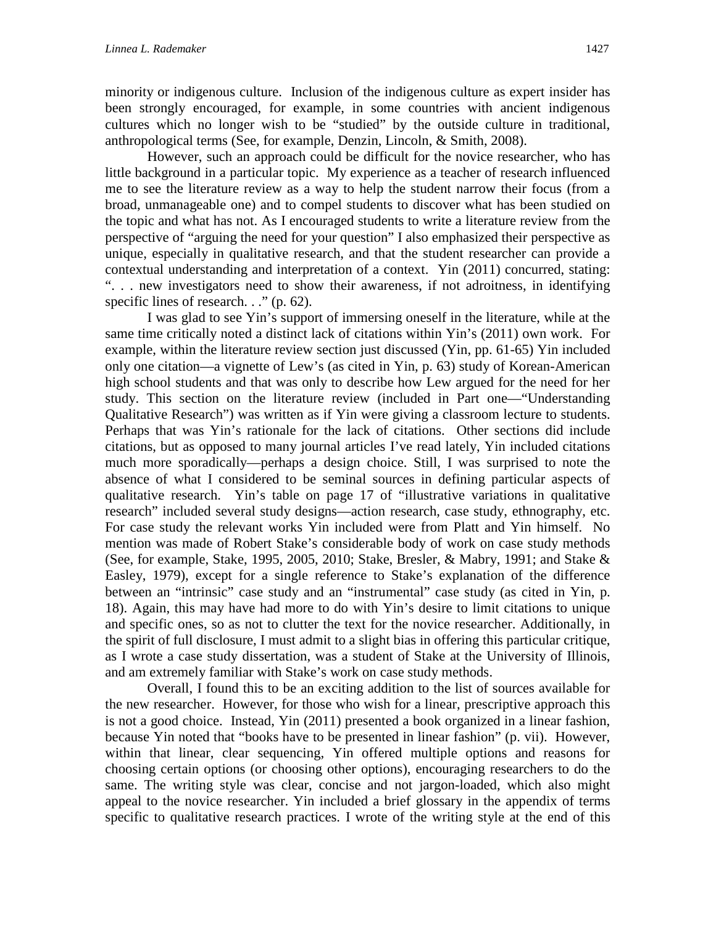minority or indigenous culture. Inclusion of the indigenous culture as expert insider has been strongly encouraged, for example, in some countries with ancient indigenous cultures which no longer wish to be "studied" by the outside culture in traditional, anthropological terms (See, for example, Denzin, Lincoln, & Smith, 2008).

However, such an approach could be difficult for the novice researcher, who has little background in a particular topic. My experience as a teacher of research influenced me to see the literature review as a way to help the student narrow their focus (from a broad, unmanageable one) and to compel students to discover what has been studied on the topic and what has not. As I encouraged students to write a literature review from the perspective of "arguing the need for your question" I also emphasized their perspective as unique, especially in qualitative research, and that the student researcher can provide a contextual understanding and interpretation of a context. Yin (2011) concurred, stating: ". . . new investigators need to show their awareness, if not adroitness, in identifying specific lines of research. . ." (p. 62).

I was glad to see Yin's support of immersing oneself in the literature, while at the same time critically noted a distinct lack of citations within Yin's (2011) own work. For example, within the literature review section just discussed (Yin, pp. 61-65) Yin included only one citation—a vignette of Lew's (as cited in Yin, p. 63) study of Korean-American high school students and that was only to describe how Lew argued for the need for her study. This section on the literature review (included in Part one—"Understanding Qualitative Research") was written as if Yin were giving a classroom lecture to students. Perhaps that was Yin's rationale for the lack of citations. Other sections did include citations, but as opposed to many journal articles I've read lately, Yin included citations much more sporadically—perhaps a design choice. Still, I was surprised to note the absence of what I considered to be seminal sources in defining particular aspects of qualitative research. Yin's table on page 17 of "illustrative variations in qualitative research" included several study designs—action research, case study, ethnography, etc. For case study the relevant works Yin included were from Platt and Yin himself. No mention was made of Robert Stake's considerable body of work on case study methods (See, for example, Stake, 1995, 2005, 2010; Stake, Bresler, & Mabry, 1991; and Stake & Easley, 1979), except for a single reference to Stake's explanation of the difference between an "intrinsic" case study and an "instrumental" case study (as cited in Yin, p. 18). Again, this may have had more to do with Yin's desire to limit citations to unique and specific ones, so as not to clutter the text for the novice researcher. Additionally, in the spirit of full disclosure, I must admit to a slight bias in offering this particular critique, as I wrote a case study dissertation, was a student of Stake at the University of Illinois, and am extremely familiar with Stake's work on case study methods.

Overall, I found this to be an exciting addition to the list of sources available for the new researcher. However, for those who wish for a linear, prescriptive approach this is not a good choice. Instead, Yin (2011) presented a book organized in a linear fashion, because Yin noted that "books have to be presented in linear fashion" (p. vii). However, within that linear, clear sequencing, Yin offered multiple options and reasons for choosing certain options (or choosing other options), encouraging researchers to do the same. The writing style was clear, concise and not jargon-loaded, which also might appeal to the novice researcher. Yin included a brief glossary in the appendix of terms specific to qualitative research practices. I wrote of the writing style at the end of this